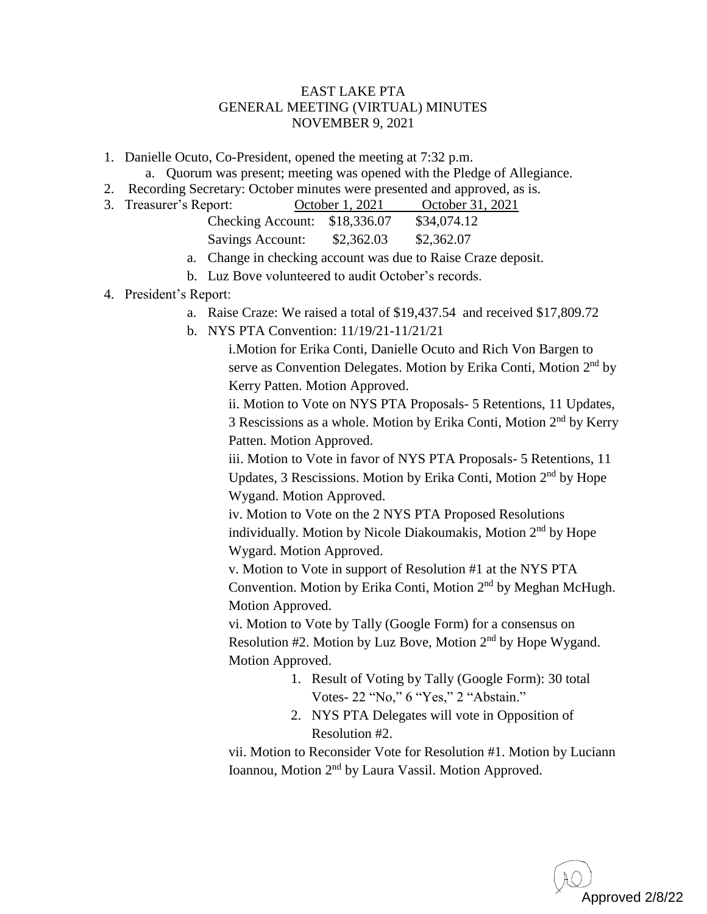## EAST LAKE PTA GENERAL MEETING (VIRTUAL) MINUTES NOVEMBER 9, 2021

- 1. Danielle Ocuto, Co-President, opened the meeting at 7:32 p.m.
	- a. Quorum was present; meeting was opened with the Pledge of Allegiance.
- 2. Recording Secretary: October minutes were presented and approved, as is.

| 3. Treasurer's Report:        |  | October 1, 2021 |             | October 31, 2021 |  |
|-------------------------------|--|-----------------|-------------|------------------|--|
| Checking Account: \$18,336.07 |  |                 | \$34,074.12 |                  |  |
| <b>Savings Account:</b>       |  | \$2,362.03      | \$2,362.07  |                  |  |

- a. Change in checking account was due to Raise Craze deposit.
- b. Luz Bove volunteered to audit October's records.

## 4. President's Report:

- a. Raise Craze: We raised a total of \$19,437.54 and received \$17,809.72
- b. NYS PTA Convention: 11/19/21-11/21/21

i.Motion for Erika Conti, Danielle Ocuto and Rich Von Bargen to serve as Convention Delegates. Motion by Erika Conti, Motion 2<sup>nd</sup> by Kerry Patten. Motion Approved.

ii. Motion to Vote on NYS PTA Proposals- 5 Retentions, 11 Updates, 3 Rescissions as a whole. Motion by Erika Conti, Motion 2<sup>nd</sup> by Kerry Patten. Motion Approved.

iii. Motion to Vote in favor of NYS PTA Proposals- 5 Retentions, 11 Updates, 3 Rescissions. Motion by Erika Conti, Motion 2<sup>nd</sup> by Hope Wygand. Motion Approved.

iv. Motion to Vote on the 2 NYS PTA Proposed Resolutions individually. Motion by Nicole Diakoumakis, Motion 2<sup>nd</sup> by Hope Wygard. Motion Approved.

v. Motion to Vote in support of Resolution #1 at the NYS PTA Convention. Motion by Erika Conti, Motion 2<sup>nd</sup> by Meghan McHugh. Motion Approved.

vi. Motion to Vote by Tally (Google Form) for a consensus on Resolution  $#2$ . Motion by Luz Bove, Motion  $2<sup>nd</sup>$  by Hope Wygand. Motion Approved.

- 1. Result of Voting by Tally (Google Form): 30 total Votes- 22 "No," 6 "Yes," 2 "Abstain."
- 2. NYS PTA Delegates will vote in Opposition of Resolution #2.

vii. Motion to Reconsider Vote for Resolution #1. Motion by Luciann Ioannou, Motion 2<sup>nd</sup> by Laura Vassil. Motion Approved.

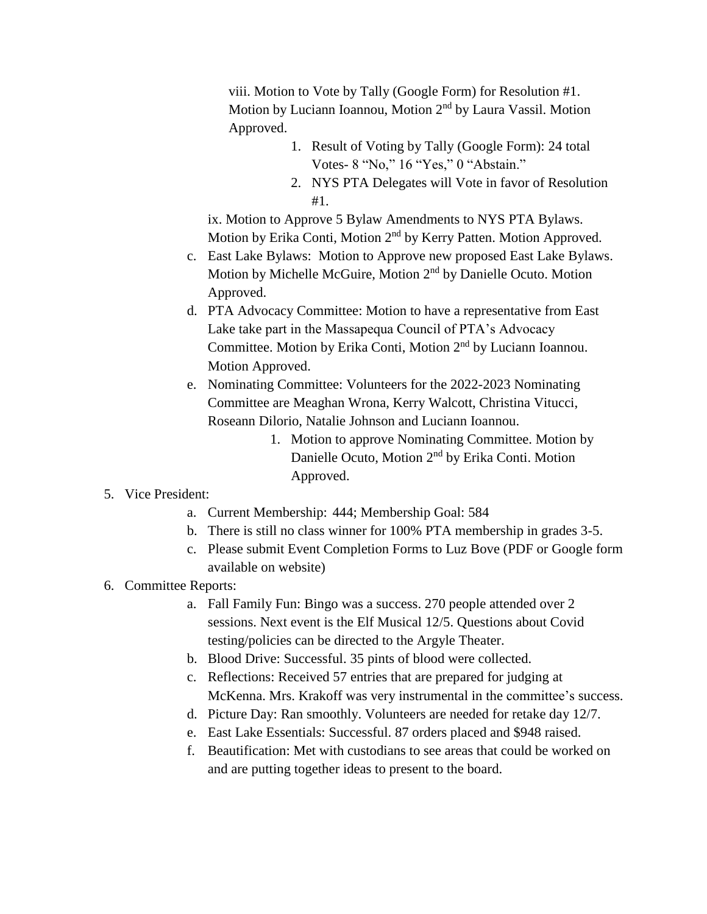viii. Motion to Vote by Tally (Google Form) for Resolution #1. Motion by Luciann Ioannou, Motion 2<sup>nd</sup> by Laura Vassil. Motion Approved.

- 1. Result of Voting by Tally (Google Form): 24 total Votes- 8 "No," 16 "Yes," 0 "Abstain."
- 2. NYS PTA Delegates will Vote in favor of Resolution #1.

ix. Motion to Approve 5 Bylaw Amendments to NYS PTA Bylaws. Motion by Erika Conti, Motion 2<sup>nd</sup> by Kerry Patten. Motion Approved.

- c. East Lake Bylaws: Motion to Approve new proposed East Lake Bylaws. Motion by Michelle McGuire, Motion 2<sup>nd</sup> by Danielle Ocuto. Motion Approved.
- d. PTA Advocacy Committee: Motion to have a representative from East Lake take part in the Massapequa Council of PTA's Advocacy Committee. Motion by Erika Conti, Motion 2<sup>nd</sup> by Luciann Ioannou. Motion Approved.
- e. Nominating Committee: Volunteers for the 2022-2023 Nominating Committee are Meaghan Wrona, Kerry Walcott, Christina Vitucci, Roseann Dilorio, Natalie Johnson and Luciann Ioannou.
	- 1. Motion to approve Nominating Committee. Motion by Danielle Ocuto, Motion 2<sup>nd</sup> by Erika Conti. Motion Approved.
- 5. Vice President:
	- a. Current Membership: 444; Membership Goal: 584
	- b. There is still no class winner for 100% PTA membership in grades 3-5.
	- c. Please submit Event Completion Forms to Luz Bove (PDF or Google form available on website)

## 6. Committee Reports:

- a. Fall Family Fun: Bingo was a success. 270 people attended over 2 sessions. Next event is the Elf Musical 12/5. Questions about Covid testing/policies can be directed to the Argyle Theater.
- b. Blood Drive: Successful. 35 pints of blood were collected.
- c. Reflections: Received 57 entries that are prepared for judging at McKenna. Mrs. Krakoff was very instrumental in the committee's success.
- d. Picture Day: Ran smoothly. Volunteers are needed for retake day 12/7.
- e. East Lake Essentials: Successful. 87 orders placed and \$948 raised.
- f. Beautification: Met with custodians to see areas that could be worked on and are putting together ideas to present to the board.